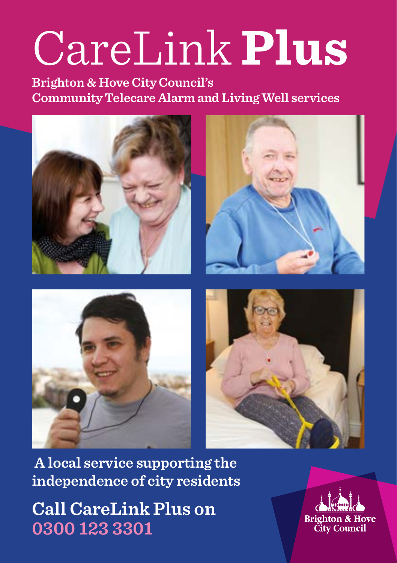# CareLink **Plus**

**Brighton & Hove City Council's Community Telecare Alarm and Living Well services**



 **A local service supporting the independence of city residents**

**Call CareLink Plus on 0300 123 3301**

**Brighton & Hove City Council**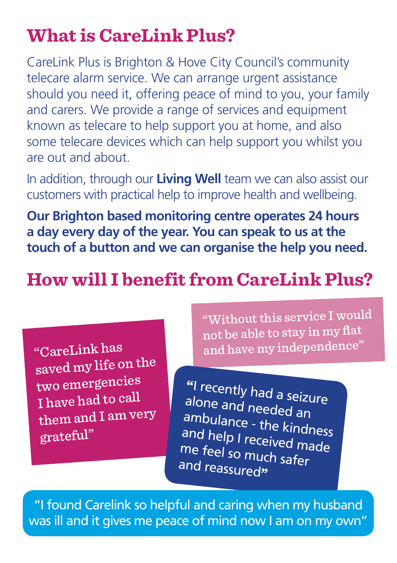# **What is CareLink Plus?**

CareLink Plus is Brighton & Hove City Council's community telecare alarm service. We can arrange urgent assistance should you need it, offering peace of mind to you, your family and carers. We provide a range of services and equipment known as telecare to help support you at home, and also some telecare devices which can help support you whilst you are out and about.

In addition, through our **Living Well** team we can also assist our customers with practical help to improve health and wellbeing.

**Our Brighton based monitoring centre operates 24 hours a day every day of the year. You can speak to us at the touch of a button and we can organise the help you need.**

# **How will I benefit from CareLink Plus?**

"CareLink has saved my life on the two emergencies I have had to call them and I am very grateful"

"Without this service I would not be able to stay in my flat and have my independence"

"I recently had a seizure alone and needed an ambulance - the kindness and help I received made me feel so much safer and reassured"

"I found Carelink so helpful and caring when my husband was ill and it gives me peace of mind now I am on my own"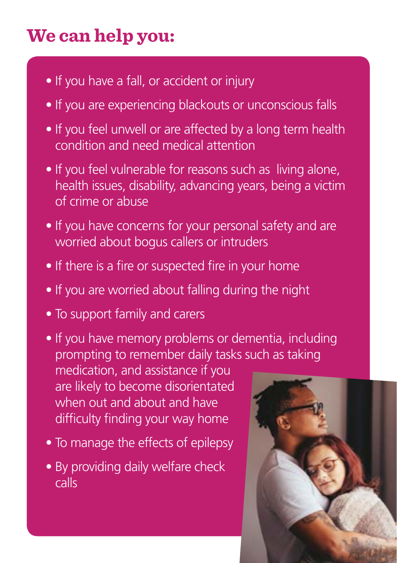# **We can help you:**

- If you have a fall, or accident or injury
- If you are experiencing blackouts or unconscious falls
- If you feel unwell or are affected by a long term health condition and need medical attention
- If you feel vulnerable for reasons such as living alone, health issues, disability, advancing years, being a victim of crime or abuse
- If you have concerns for your personal safety and are worried about bogus callers or intruders
- If there is a fire or suspected fire in your home
- If you are worried about falling during the night
- To support family and carers
- If you have memory problems or dementia, including prompting to remember daily tasks such as taking medication, and assistance if you are likely to become disorientated when out and about and have difficulty finding your way home
- To manage the effects of epilepsy
- By providing daily welfare check calls

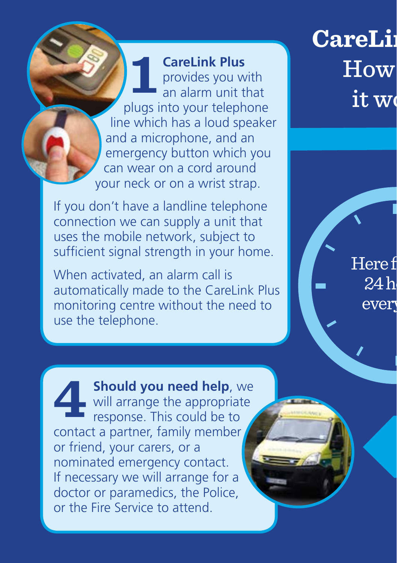**CareLink Plus** provides you with an alarm unit that plugs into your telephone line which has a loud speaker and a microphone, and an emergency button which you can wear on a cord around your neck or on a wrist strap. **1**

If you don't have a landline telephone connection we can supply a unit that uses the mobile network, subject to sufficient signal strength in your home.

When activated, an alarm call is automatically made to the CareLink Plus monitoring centre without the need to use the telephone.

**CareLing**  $\overline{\mathrm{How}}$ it w

> Here f  $24h$ ever

**Should you need help**, we will arrange the appropriate response. This could be to contact a partner, family member or friend, your carers, or a nominated emergency contact. If necessary we will arrange for a doctor or paramedics, the Police, or the Fire Service to attend. **4**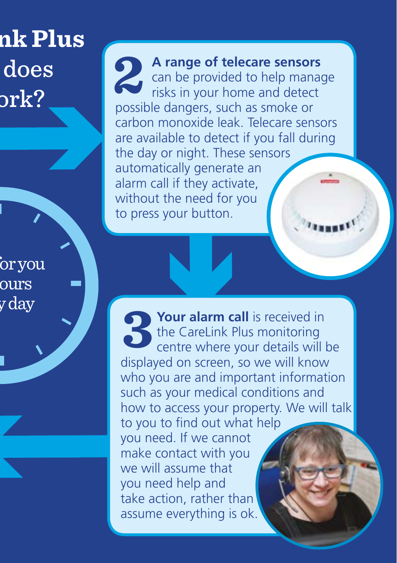# **CareLink Plus**  does  ${\rm ork?}$

.<br>or vou ours y day

**A range of telecare sensors** can be provided to help manage risks in your home and detect possible dangers, such as smoke or carbon monoxide leak. Telecare sensors are available to detect if you fall during the day or night. These sensors automatically generate an alarm call if they activate, without the need for you to press your button. **2**

**Your alarm call** is received in the CareLink Plus monitoring centre where your details will be displayed on screen, so we will know who you are and important information such as your medical conditions and how to access your property. We will talk to you to find out what help you need. If we cannot make contact with you we will assume that you need help and take action, rather than assume everything is ok. **3**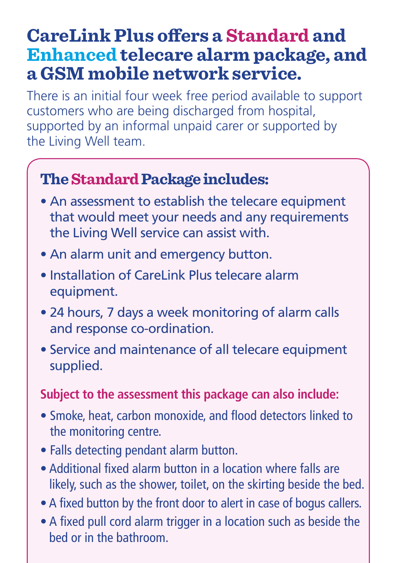#### **CareLink Plus offers a Standard and Enhanced telecare alarm package, and a GSM mobile network service.**

There is an initial four week free period available to support customers who are being discharged from hospital, supported by an informal unpaid carer or supported by the Living Well team.

#### **The Standard Package includes:**

- An assessment to establish the telecare equipment that would meet your needs and any requirements the Living Well service can assist with.
- An alarm unit and emergency button.
- Installation of CareLink Plus telecare alarm equipment.
- 24 hours, 7 days a week monitoring of alarm calls and response co-ordination.
- Service and maintenance of all telecare equipment supplied.

#### **Subject to the assessment this package can also include:**

- Smoke, heat, carbon monoxide, and flood detectors linked to the monitoring centre.
- Falls detecting pendant alarm button.
- Additional fixed alarm button in a location where falls are likely, such as the shower, toilet, on the skirting beside the bed.
- A fixed button by the front door to alert in case of bogus callers.
- A fixed pull cord alarm trigger in a location such as beside the bed or in the bathroom.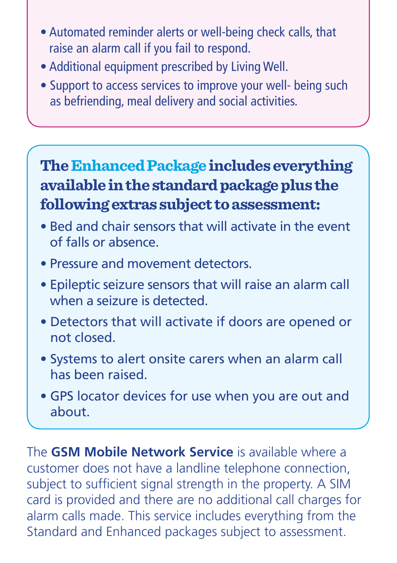- Automated reminder alerts or well-being check calls, that raise an alarm call if you fail to respond.
- Additional equipment prescribed by Living Well.
- Support to access services to improve your well- being such as befriending, meal delivery and social activities.

#### **The Enhanced Package includes everything available in the standard package plus the following extras subject to assessment:**

- Bed and chair sensors that will activate in the event of falls or absence.
- Pressure and movement detectors.
- Epileptic seizure sensors that will raise an alarm call when a seizure is detected.
- Detectors that will activate if doors are opened or not closed.
- Systems to alert onsite carers when an alarm call has been raised.
- GPS locator devices for use when you are out and about.

The **GSM Mobile Network Service** is available where a customer does not have a landline telephone connection, subject to sufficient signal strength in the property. A SIM card is provided and there are no additional call charges for alarm calls made. This service includes everything from the Standard and Enhanced packages subject to assessment.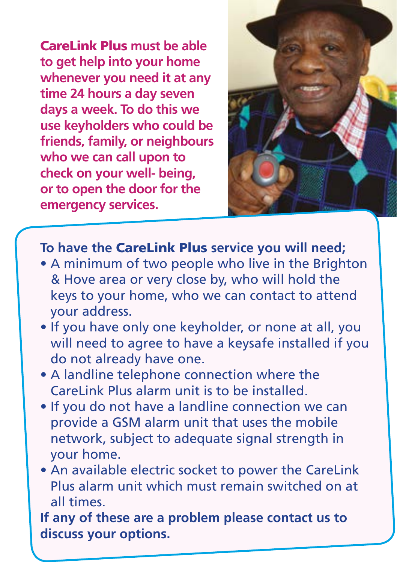CareLink Plus **must be able to get help into your home whenever you need it at any time 24 hours a day seven days a week. To do this we use keyholders who could be friends, family, or neighbours who we can call upon to check on your well- being, or to open the door for the emergency services.**



#### **To have the** CareLink Plus **service you will need;**

- A minimum of two people who live in the Brighton & Hove area or very close by, who will hold the keys to your home, who we can contact to attend your address.
- If you have only one keyholder, or none at all, you will need to agree to have a keysafe installed if you do not already have one.
- A landline telephone connection where the CareLink Plus alarm unit is to be installed.
- If you do not have a landline connection we can provide a GSM alarm unit that uses the mobile network, subject to adequate signal strength in your home.
- An available electric socket to power the CareLink Plus alarm unit which must remain switched on at all times.

**If any of these are a problem please contact us to discuss your options.**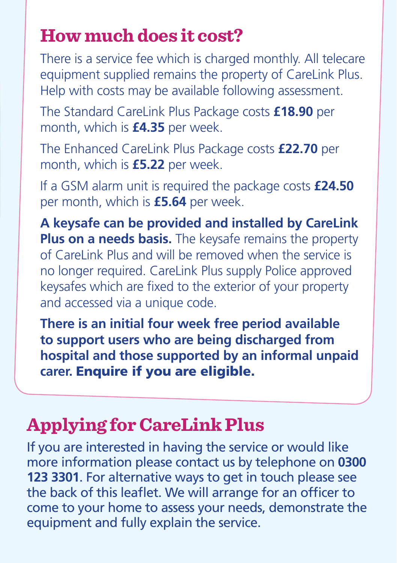### **How much does it cost?**

There is a service fee which is charged monthly. All telecare equipment supplied remains the property of CareLink Plus. Help with costs may be available following assessment.

The Standard CareLink Plus Package costs **£18.90** per month, which is **£4.35** per week.

The Enhanced CareLink Plus Package costs **£22.70** per month, which is **£5.22** per week.

If a GSM alarm unit is required the package costs **£24.50** per month, which is **£5.64** per week.

**A keysafe can be provided and installed by CareLink Plus on a needs basis.** The keysafe remains the property of CareLink Plus and will be removed when the service is no longer required. CareLink Plus supply Police approved keysafes which are fixed to the exterior of your property and accessed via a unique code.

**There is an initial four week free period available to support users who are being discharged from hospital and those supported by an informal unpaid carer.** Enquire if you are eligible.

### **Applying for CareLink Plus**

If you are interested in having the service or would like more information please contact us by telephone on **0300 123 3301**. For alternative ways to get in touch please see the back of this leaflet. We will arrange for an officer to come to your home to assess your needs, demonstrate the equipment and fully explain the service.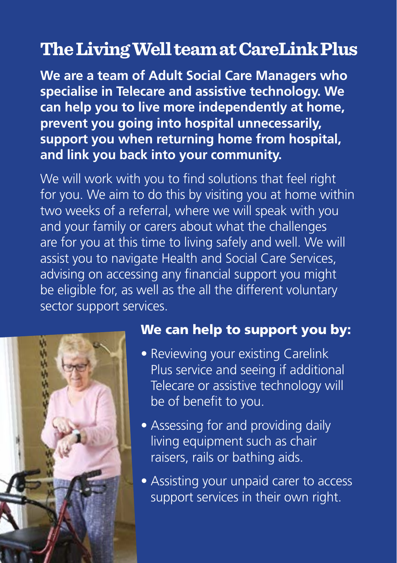#### **The Living Well team at CareLink Plus**

**We are a team of Adult Social Care Managers who specialise in Telecare and assistive technology. We can help you to live more independently at home, prevent you going into hospital unnecessarily, support you when returning home from hospital, and link you back into your community.** 

We will work with you to find solutions that feel right for you. We aim to do this by visiting you at home within two weeks of a referral, where we will speak with you and your family or carers about what the challenges are for you at this time to living safely and well. We will assist you to navigate Health and Social Care Services, advising on accessing any financial support you might be eligible for, as well as the all the different voluntary sector support services.



#### We can help to support you by:

- Reviewing your existing Carelink Plus service and seeing if additional Telecare or assistive technology will be of benefit to you.
- Assessing for and providing daily living equipment such as chair raisers, rails or bathing aids.
- Assisting your unpaid carer to access support services in their own right.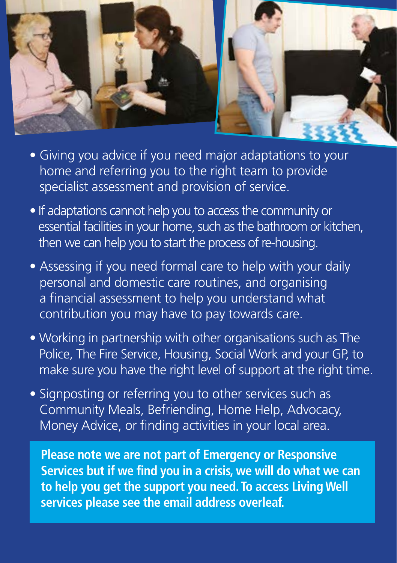

- Giving you advice if you need major adaptations to your home and referring you to the right team to provide specialist assessment and provision of service.
- If adaptations cannot help you to access the community or essential facilities in your home, such as the bathroom or kitchen, then we can help you to start the process of re-housing.
- Assessing if you need formal care to help with your daily personal and domestic care routines, and organising a financial assessment to help you understand what contribution you may have to pay towards care.
- Working in partnership with other organisations such as The Police, The Fire Service, Housing, Social Work and your GP, to make sure you have the right level of support at the right time.
- Signposting or referring you to other services such as Community Meals, Befriending, Home Help, Advocacy, Money Advice, or finding activities in your local area.

 **Please note we are not part of Emergency or Responsive Services but if we find you in a crisis, we will do what we can to help you get the support you need. To access Living Well services please see the email address overleaf.**